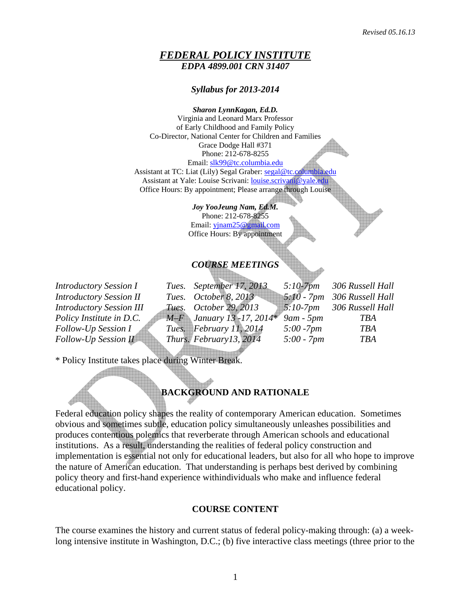#### *FEDERAL POLICY INSTITUTE EDPA 4899.001 CRN 31407*

*Syllabus for 2013-2014* 

*Sharon LynnKagan, Ed.D.* 

Virginia and Leonard Marx Professor of Early Childhood and Family Policy Co-Director, National Center for Children and Families Grace Dodge Hall #371 Phone: 212-678-8255 Email: [slk99@tc.columbia.edu](mailto:slk99@tc.columbia.edu) Assistant at TC: Liat (Lily) Segal Graber: [segal@tc.columbia.edu](mailto:segal@tc.columbia.edu) Assistant at Yale: Louise Scrivani: [louise.scrivani@yale.edu](mailto:louise.scrivani@yale.edu) Office Hours: By appointment; Please arrange through Louise

> *Joy YooJeung Nam, Ed.M.*  Phone: 212-678-8255 Email: [yjnam25@gmail.com](mailto:yjnam25@gmail.com) Office Hours: By appointment

# *COURSE MEETINGS*

*Introductory Session I* Tues. September 17, 2013 5:10-7pm 306 Russell Hall <br>Introductory Session II Tues. October 8, 2013 5:10 - 7pm 306 Russell Hall *Introductory Session II Tues. October 8, 2013 5:10 - 7pm 306 Russell Hall Introductory Session III Tues. October 29, 2013 5:10-7pm 306 Russell Hall Policy Institute in D.C. M–F January 13 -17, 2014*\* *9am - 5pm TBA Follow-Up Session I Tues. February 11, 2014 5:00 -7pm TBA Follow-Up Session II Thurs. February13, 2014 5:00 - 7pm TBA* 

\* Policy Institute takes place during Winter Break.

# **BACKGROUND AND RATIONALE**

Federal education policy shapes the reality of contemporary American education. Sometimes obvious and sometimes subtle, education policy simultaneously unleashes possibilities and produces contentious polemics that reverberate through American schools and educational institutions. As a result, understanding the realities of federal policy construction and implementation is essential not only for educational leaders, but also for all who hope to improve the nature of American education. That understanding is perhaps best derived by combining policy theory and first-hand experience withindividuals who make and influence federal educational policy.

#### **COURSE CONTENT**

The course examines the history and current status of federal policy-making through: (a) a weeklong intensive institute in Washington, D.C.; (b) five interactive class meetings (three prior to the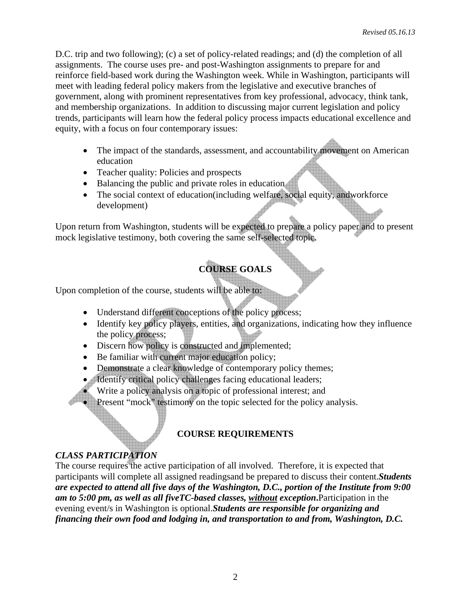D.C. trip and two following); (c) a set of policy-related readings; and (d) the completion of all assignments. The course uses pre- and post-Washington assignments to prepare for and reinforce field-based work during the Washington week. While in Washington, participants will meet with leading federal policy makers from the legislative and executive branches of government, along with prominent representatives from key professional, advocacy, think tank, and membership organizations. In addition to discussing major current legislation and policy trends, participants will learn how the federal policy process impacts educational excellence and equity, with a focus on four contemporary issues:

- The impact of the standards, assessment, and accountability movement on American education
- Teacher quality: Policies and prospects
- Balancing the public and private roles in education
- The social context of education(including welfare, social equity, andworkforce development)

Upon return from Washington, students will be expected to prepare a policy paper and to present mock legislative testimony, both covering the same self-selected topic.

# **COURSE GOALS**

Upon completion of the course, students will be able to:

- Understand different conceptions of the policy process;
- Identify key policy players, entities, and organizations, indicating how they influence the policy process;
- Discern how policy is constructed and implemented;
- Be familiar with current major education policy;
- Demonstrate a clear knowledge of contemporary policy themes;
- Identify critical policy challenges facing educational leaders;
	- Write a policy analysis on a topic of professional interest; and
- Present "mock" testimony on the topic selected for the policy analysis.

# **COURSE REQUIREMENTS**

# *CLASS PARTICIPATION*

The course requires the active participation of all involved. Therefore, it is expected that participants will complete all assigned readingsand be prepared to discuss their content.*Students are expected to attend all five days of the Washington, D.C., portion of the Institute from 9:00 am to 5:00 pm, as well as all fiveTC-based classes, without exception***.**Participation in the evening event/s in Washington is optional.*Students are responsible for organizing and financing their own food and lodging in, and transportation to and from, Washington, D.C.*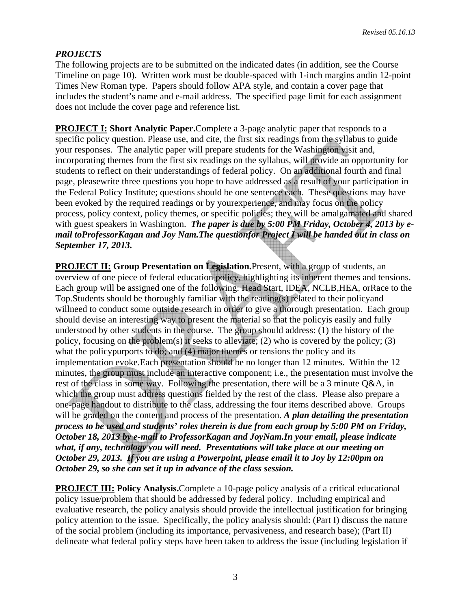# *PROJECTS*

The following projects are to be submitted on the indicated dates (in addition, see the Course Timeline on page 10). Written work must be double-spaced with 1-inch margins andin 12-point Times New Roman type. Papers should follow APA style, and contain a cover page that includes the student's name and e-mail address. The specified page limit for each assignment does not include the cover page and reference list.

**PROJECT I: Short Analytic Paper.**Complete a 3-page analytic paper that responds to a specific policy question. Please use, and cite, the first six readings from the syllabus to guide your responses. The analytic paper will prepare students for the Washington visit and, incorporating themes from the first six readings on the syllabus, will provide an opportunity for students to reflect on their understandings of federal policy. On an additional fourth and final page, pleasewrite three questions you hope to have addressed as a result of your participation in the Federal Policy Institute; questions should be one sentence each. These questions may have been evoked by the required readings or by yourexperience, and may focus on the policy process, policy context, policy themes, or specific policies; they will be amalgamated and shared with guest speakers in Washington. *The paper is due by 5:00 PM Friday, October 4, 2013 by email toProfessorKagan and Joy Nam.The questionfor Project I will be handed out in class on September 17, 2013.* 

**PROJECT II: Group Presentation on Legislation.**Present, with a group of students, an overview of one piece of federal education policy, highlighting its inherent themes and tensions. Each group will be assigned one of the following: Head Start, IDEA, NCLB,HEA, orRace to the Top.Students should be thoroughly familiar with the reading(s) related to their policyand willneed to conduct some outside research in order to give a thorough presentation. Each group should devise an interesting way to present the material so that the policyis easily and fully understood by other students in the course. The group should address: (1) the history of the policy, focusing on the problem(s) it seeks to alleviate; (2) who is covered by the policy; (3) what the policypurports to do; and (4) major themes or tensions the policy and its implementation evoke.Each presentation should be no longer than 12 minutes. Within the 12 minutes, the group must include an interactive component; i.e., the presentation must involve the rest of the class in some way. Following the presentation, there will be a 3 minute Q&A, in which the group must address questions fielded by the rest of the class. Please also prepare a one-page handout to distribute to the class, addressing the four items described above. Groups will be graded on the content and process of the presentation. *A plan detailing the presentation process to be used and students' roles therein is due from each group by 5:00 PM on Friday, October 18, 2013 by e-mail to ProfessorKagan and JoyNam.In your email, please indicate what, if any, technology you will need. Presentations will take place at our meeting on October 29, 2013. If you are using a Powerpoint, please email it to Joy by 12:00pm on October 29, so she can set it up in advance of the class session.* 

**PROJECT III: Policy Analysis.**Complete a 10-page policy analysis of a critical educational policy issue/problem that should be addressed by federal policy. Including empirical and evaluative research, the policy analysis should provide the intellectual justification for bringing policy attention to the issue. Specifically, the policy analysis should: (Part I) discuss the nature of the social problem (including its importance, pervasiveness, and research base); (Part II) delineate what federal policy steps have been taken to address the issue (including legislation if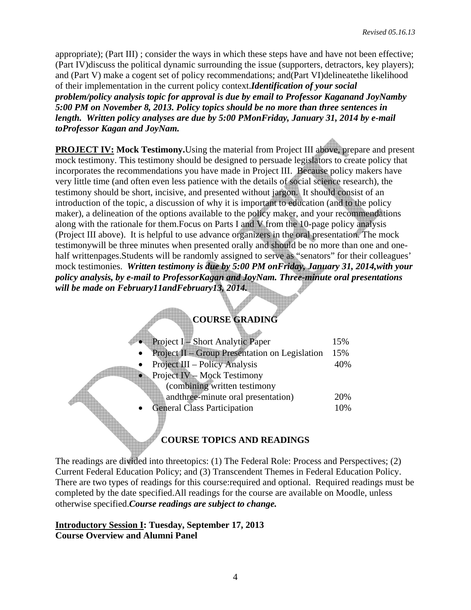appropriate); (Part III) ; consider the ways in which these steps have and have not been effective; (Part IV)discuss the political dynamic surrounding the issue (supporters, detractors, key players); and (Part V) make a cogent set of policy recommendations; and(Part VI)delineatethe likelihood of their implementation in the current policy context.*Identification of your social problem/policy analysis topic for approval is due by email to Professor Kaganand JoyNamby 5:00 PM on November 8, 2013. Policy topics should be no more than three sentences in length. Written policy analyses are due by 5:00 PMonFriday, January 31, 2014 by e-mail toProfessor Kagan and JoyNam.* 

**PROJECT IV: Mock Testimony.** Using the material from Project III above, prepare and present mock testimony. This testimony should be designed to persuade legislators to create policy that incorporates the recommendations you have made in Project III. Because policy makers have very little time (and often even less patience with the details of social science research), the testimony should be short, incisive, and presented without jargon. It should consist of an introduction of the topic, a discussion of why it is important to education (and to the policy maker), a delineation of the options available to the policy maker, and your recommendations along with the rationale for them.Focus on Parts I and V from the 10-page policy analysis (Project III above). It is helpful to use advance organizers in the oral presentation. The mock testimonywill be three minutes when presented orally and should be no more than one and onehalf writtenpages.Students will be randomly assigned to serve as "senators" for their colleagues' mock testimonies. *Written testimony is due by 5:00 PM onFriday, January 31, 2014,with your policy analysis, by e-mail to ProfessorKagan and JoyNam. Three-minute oral presentations will be made on February11andFebruary13, 2014.*

# **COURSE GRADING**

| Project I – Short Analytic Paper                | 15% |
|-------------------------------------------------|-----|
| Project II - Group Presentation on Legislation  | 15% |
| Project III – Policy Analysis                   | 40% |
| Project IV – Mock Testimony                     |     |
| (combining written testimony                    |     |
| andthree-minute oral presentation)              | 20% |
| <b>General Class Participation</b><br>$\bullet$ | 10% |
|                                                 |     |

# **COURSE TOPICS AND READINGS**

The readings are divided into threetopics: (1) The Federal Role: Process and Perspectives; (2) Current Federal Education Policy; and (3) Transcendent Themes in Federal Education Policy. There are two types of readings for this course:required and optional. Required readings must be completed by the date specified.All readings for the course are available on Moodle, unless otherwise specified.*Course readings are subject to change.*

## **Introductory Session I: Tuesday, September 17, 2013 Course Overview and Alumni Panel**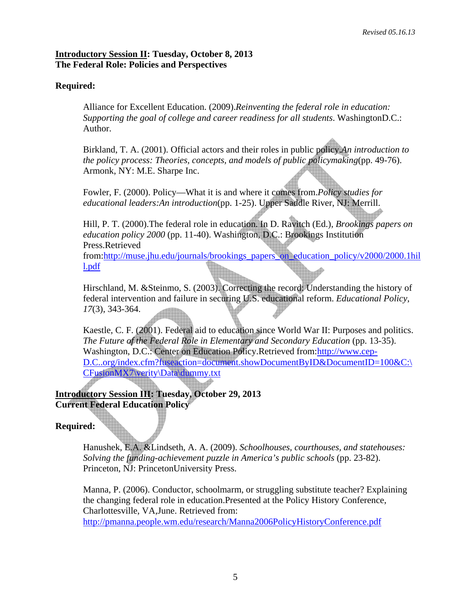#### **Introductory Session II: Tuesday, October 8, 2013 The Federal Role: Policies and Perspectives**

## **Required:**

Alliance for Excellent Education. (2009).*Reinventing the federal role in education: Supporting the goal of college and career readiness for all students*. WashingtonD.C.: Author.

Birkland, T. A. (2001). Official actors and their roles in public policy.*An introduction to the policy process: Theories, concepts, and models of public policymaking*(pp. 49-76). Armonk, NY: M.E. Sharpe Inc.

Fowler, F. (2000). Policy—What it is and where it comes from.*Policy studies for educational leaders:An introduction*(pp. 1-25). Upper Saddle River, NJ: Merrill.

Hill, P. T. (2000).The federal role in education. In D. Ravitch (Ed.), *Brookings papers on education policy 2000* (pp. 11-40). Washington, D.C.: Brookings Institution Press.Retrieved from:[http://muse.jhu.edu/journals/brookings\\_papers\\_on\\_education\\_policy/v2000/2000.1hil](http://muse.jhu.edu/journals/brookings_papers_on_education_policy/v2000/2000.1hill.pdf) [l.pdf](http://muse.jhu.edu/journals/brookings_papers_on_education_policy/v2000/2000.1hill.pdf)

Hirschland, M. &Steinmo, S. (2003). Correcting the record: Understanding the history of federal intervention and failure in securing U.S. educational reform. *Educational Policy, 17*(3), 343-364.

Kaestle, C. F. (2001). Federal aid to education since World War II: Purposes and politics. *The Future of the Federal Role in Elementary and Secondary Education* (pp. 13-35). Washington, D.C.: Center on Education Policy.Retrieved from[:http://www.cep-](http://www.cep-dc.org/index.cfm?fuseaction=document.showDocumentByID&DocumentID=100&C:%5CCFusionMX7%5Cverity%5CData%5Cdummy.txt)[D.C..org/index.cfm?fuseaction=document.showDocumentByID&DocumentID=100&C:\](http://www.cep-dc.org/index.cfm?fuseaction=document.showDocumentByID&DocumentID=100&C:%5CCFusionMX7%5Cverity%5CData%5Cdummy.txt) [CFusionMX7\verity\Data\dummy.txt](http://www.cep-dc.org/index.cfm?fuseaction=document.showDocumentByID&DocumentID=100&C:%5CCFusionMX7%5Cverity%5CData%5Cdummy.txt)

**Introductory Session III: Tuesday, October 29, 2013 Current Federal Education Policy** 

# **Required:**

Hanushek, E.A. &Lindseth, A. A. (2009). *Schoolhouses, courthouses, and statehouses: Solving the funding-achievement puzzle in America's public schools* (pp. 23-82). Princeton, NJ: PrincetonUniversity Press.

 Manna, P. (2006). Conductor, schoolmarm, or struggling substitute teacher? Explaining the changing federal role in education.Presented at the Policy History Conference, Charlottesville, VA,June. Retrieved from: <http://pmanna.people.wm.edu/research/Manna2006PolicyHistoryConference.pdf>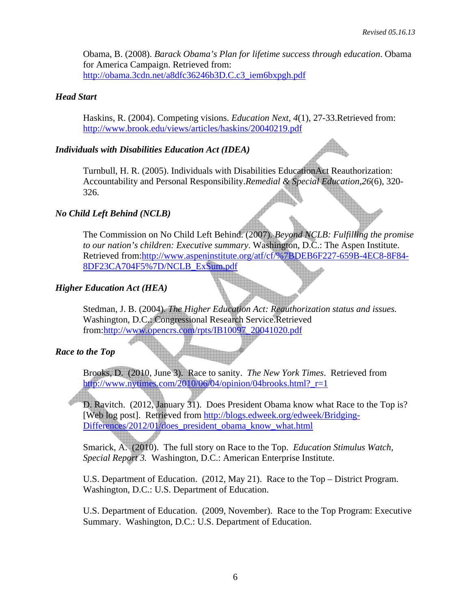Obama, B. (2008). *Barack Obama's Plan for lifetime success through education*. Obama for America Campaign. Retrieved from: [http://obama.3cdn.net/a8dfc36246b3D.C.c3\\_iem6bxpgh.pdf](http://obama.3cdn.net/a8dfc36246b3dcc3_iem6bxpgh.pdf)

#### *Head Start*

Haskins, R. (2004). Competing visions. *Education Next, 4*(1), 27-33.Retrieved from: <http://www.brook.edu/views/articles/haskins/20040219.pdf>

#### *Individuals with Disabilities Education Act (IDEA)*

Turnbull, H. R. (2005). Individuals with Disabilities EducationAct Reauthorization: Accountability and Personal Responsibility.*Remedial & Special Education*,*26*(6), 320- 326.

## *No Child Left Behind (NCLB)*

The Commission on No Child Left Behind. (2007). *Beyond NCLB: Fulfilling the promise to our nation's children: Executive summary*. Washington, D.C.: The Aspen Institute. Retrieved from[:http://www.aspeninstitute.org/atf/cf/%7BDEB6F227-659B-4EC8-8F84-](http://www.aspeninstitute.org/atf/cf/%7BDEB6F227-659B-4EC8-8F84-8DF23CA704F5%7D/NCLB_ExSum.pdf) [8DF23CA704F5%7D/NCLB\\_ExSum.pdf](http://www.aspeninstitute.org/atf/cf/%7BDEB6F227-659B-4EC8-8F84-8DF23CA704F5%7D/NCLB_ExSum.pdf)

## *Higher Education Act (HEA)*

Stedman, J. B. (2004). *The Higher Education Act: Reauthorization status and issues.* Washington, D.C.: Congressional Research Service.Retrieved from:[http://www.opencrs.com/rpts/IB10097\\_20041020.pdf](http://www.opencrs.com/rpts/IB10097_20041020.pdf)

## *Race to the Top*

Brooks, D. (2010, June 3). Race to sanity. *The New York Times*. Retrieved from http://www.nytimes.com/2010/06/04/opinion/04brooks.html? $r=1$ 

D. Ravitch. (2012, January 31). Does President Obama know what Race to the Top is? [Web log post]. Retrieved from [http://blogs.edweek.org/edweek/Bridging-](http://blogs.edweek.org/edweek/Bridging-Differences/2012/01/does_president_obama_know_what.html)[Differences/2012/01/does\\_president\\_obama\\_know\\_what.html](http://blogs.edweek.org/edweek/Bridging-Differences/2012/01/does_president_obama_know_what.html)

Smarick, A. (2010). The full story on Race to the Top. *Education Stimulus Watch, Special Report 3.* Washington, D.C.: American Enterprise Institute.

U.S. Department of Education. (2012, May 21). Race to the Top – District Program. Washington, D.C.: U.S. Department of Education.

U.S. Department of Education. (2009, November). Race to the Top Program: Executive Summary. Washington, D.C.: U.S. Department of Education.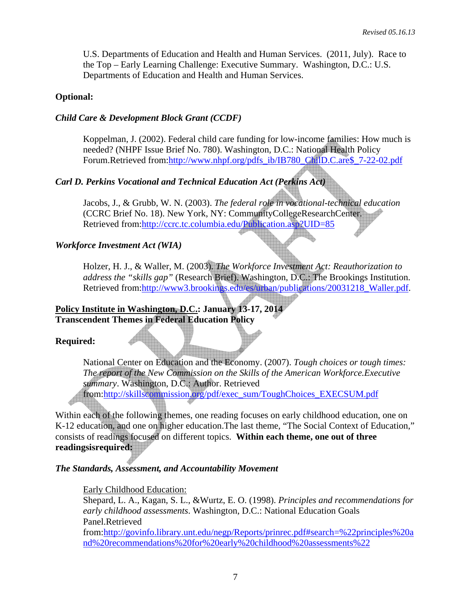U.S. Departments of Education and Health and Human Services. (2011, July). Race to the Top – Early Learning Challenge: Executive Summary. Washington, D.C.: U.S. Departments of Education and Health and Human Services.

#### **Optional:**

#### *Child Care & Development Block Grant (CCDF)*

Koppelman, J. (2002). Federal child care funding for low-income families: How much is needed? (NHPF Issue Brief No. 780). Washington, D.C.: National Health Policy Forum.Retrieved from[:http://www.nhpf.org/pdfs\\_ib/IB780\\_ChilD.C.are\\$\\_7-22-02.pdf](http://www.nhpf.org/pdfs_ib/IB780_ChildCare$_7-22-02.pdf)

## *Carl D. Perkins Vocational and Technical Education Act (Perkins Act)*

Jacobs, J., & Grubb, W. N. (2003). *The federal role in vocational-technical education*  (CCRC Brief No. 18). New York, NY: CommunityCollegeResearchCenter. Retrieved from[:http://ccrc.tc.columbia.edu/Publication.asp?UID=85](http://ccrc.tc.columbia.edu/Publication.asp?UID=85)

#### *Workforce Investment Act (WIA)*

Holzer, H. J., & Waller, M. (2003). *The Workforce Investment Act: Reauthorization to address the "skills gap"* (Research Brief). Washington, D.C.: The Brookings Institution. Retrieved from[:http://www3.brookings.edu/es/urban/publications/20031218\\_Waller.pdf](http://www3.brookings.edu/es/urban/publications/20031218_Waller.pdf).

## **Policy Institute in Washington, D.C.: January 13-17, 2014 Transcendent Themes in Federal Education Policy**

## **Required:**

National Center on Education and the Economy. (2007). *Tough choices or tough times: The report of the New Commission on the Skills of the American Workforce.Executive summary*. Washington, D.C.: Author. Retrieved from:[http://skillscommission.org/pdf/exec\\_sum/ToughChoices\\_EXECSUM.pdf](http://skillscommission.org/pdf/exec_sum/ToughChoices_EXECSUM.pdf)

Within each of the following themes, one reading focuses on early childhood education, one on K-12 education, and one on higher education.The last theme, "The Social Context of Education," consists of readings focused on different topics. **Within each theme, one out of three readingsisrequired:**

#### *The Standards, Assessment, and Accountability Movement*

#### Early Childhood Education:

Shepard, L. A., Kagan, S. L., &Wurtz, E. O. (1998). *Principles and recommendations for early childhood assessments*. Washington, D.C.: National Education Goals Panel.Retrieved

from:[http://govinfo.library.unt.edu/negp/Reports/prinrec.pdf#search=%22principles%20a](https://cubmail.cc.columbia.edu/horde/util/go.php?url=http%3A%2F%2Fgovinfo.library.unt.edu%2Fnegp%2FReports%2Fprinrec.pdf%23search%3D%2522principles%2520and%2520recommendations%2520for%2520early%2520childhood%2520assessments%2522&Horde=121e2a7ebfa8c762f11406c73a1be7ae) [nd%20recommendations%20for%20early%20childhood%20assessments%22](https://cubmail.cc.columbia.edu/horde/util/go.php?url=http%3A%2F%2Fgovinfo.library.unt.edu%2Fnegp%2FReports%2Fprinrec.pdf%23search%3D%2522principles%2520and%2520recommendations%2520for%2520early%2520childhood%2520assessments%2522&Horde=121e2a7ebfa8c762f11406c73a1be7ae)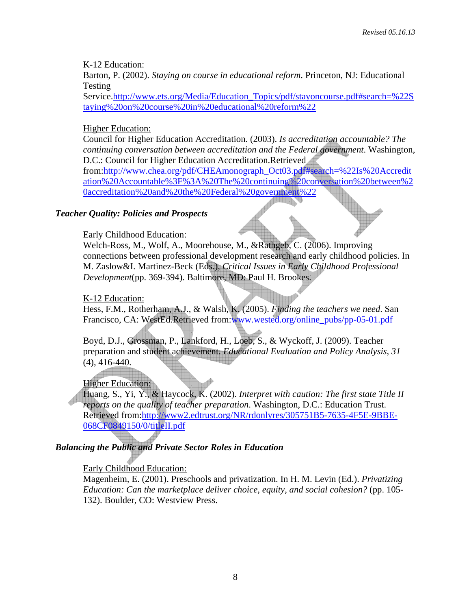K-12 Education:

Barton, P. (2002). *Staying on course in educational reform*. Princeton, NJ: Educational Testing

Service[.http://www.ets.org/Media/Education\\_Topics/pdf/stayoncourse.pdf#search=%22S](http://www.ets.org/Media/Education_Topics/pdf/stayoncourse.pdf#search=%22Staying%20on%20course%20in%20educational%20reform%22) [taying%20on%20course%20in%20educational%20reform%22](http://www.ets.org/Media/Education_Topics/pdf/stayoncourse.pdf#search=%22Staying%20on%20course%20in%20educational%20reform%22)

Higher Education:

Council for Higher Education Accreditation. (2003). *Is accreditation accountable? The continuing conversation between accreditation and the Federal government*. Washington, D.C.: Council for Higher Education Accreditation.Retrieved from:[http://www.chea.org/pdf/CHEAmonograph\\_Oct03.pdf#search=%22Is%20Accredit](http://www.chea.org/pdf/CHEAmonograph_Oct03.pdf#search=%22Is%20Accreditation%20Accountable%3F%3A%20The%20continuing%20conversation%20between%20accreditation%20and%20the%20Federal%20government%22) [ation%20Accountable%3F%3A%20The%20continuing%20conversation%20between%2](http://www.chea.org/pdf/CHEAmonograph_Oct03.pdf#search=%22Is%20Accreditation%20Accountable%3F%3A%20The%20continuing%20conversation%20between%20accreditation%20and%20the%20Federal%20government%22) [0accreditation%20and%20the%20Federal%20government%22](http://www.chea.org/pdf/CHEAmonograph_Oct03.pdf#search=%22Is%20Accreditation%20Accountable%3F%3A%20The%20continuing%20conversation%20between%20accreditation%20and%20the%20Federal%20government%22)

## *Teacher Quality: Policies and Prospects*

Early Childhood Education:

Welch-Ross, M., Wolf, A., Moorehouse, M., &Rathgeb, C. (2006). Improving connections between professional development research and early childhood policies. In M. Zaslow&I. Martinez-Beck (Eds.), *Critical Issues in Early Childhood Professional Development*(pp. 369-394). Baltimore, MD: Paul H. Brookes.

#### K-12 Education:

Hess, F.M., Rotherham, A.J., & Walsh, K. (2005). *Finding the teachers we need*. San Francisco, CA: WestEd.Retrieved from:[www.wested.org/online\\_pubs/pp-05-01.pdf](http://www.wested.org/online_pubs/pp-05-01.pdf)

Boyd, D.J., Grossman, P., Lankford, H., Loeb, S., & Wyckoff, J. (2009). Teacher preparation and student achievement. *Educational Evaluation and Policy Analysis*, *31* (4), 416-440.

**Higher Education:** 

◢ Huang, S., Yi, Y., & Haycock, K. (2002). *Interpret with caution: The first state Title II reports on the quality of teacher preparation*. Washington, D.C.: Education Trust. Retrieved from[:http://www2.edtrust.org/NR/rdonlyres/305751B5-7635-4F5E-9BBE-](http://www2.edtrust.org/NR/rdonlyres/305751B5-7635-4F5E-9BBE-068CF0849150/0/titleII.pdf)[068CF0849150/0/titleII.pdf](http://www2.edtrust.org/NR/rdonlyres/305751B5-7635-4F5E-9BBE-068CF0849150/0/titleII.pdf)

## *Balancing the Public and Private Sector Roles in Education*

## Early Childhood Education:

Magenheim, E. (2001). Preschools and privatization. In H. M. Levin (Ed.). *Privatizing Education: Can the marketplace deliver choice, equity, and social cohesion?* (pp. 105- 132). Boulder, CO: Westview Press.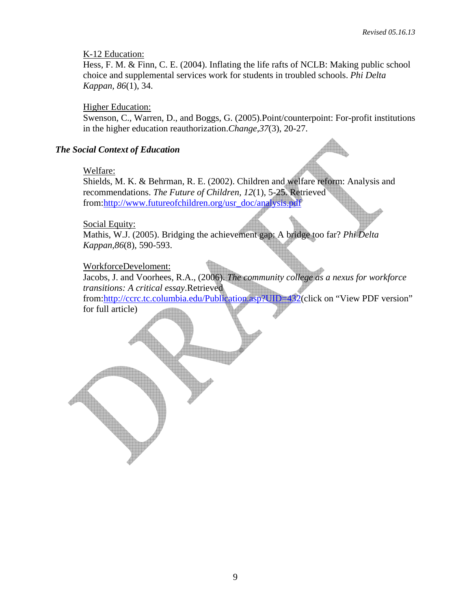#### K-12 Education:

Hess, F. M. & Finn, C. E. (2004). Inflating the life rafts of NCLB: Making public school choice and supplemental services work for students in troubled schools. *Phi Delta Kappan, 86*(1), 34.

#### Higher Education:

Swenson, C., Warren, D., and Boggs, G. (2005).Point/counterpoint: For-profit institutions in the higher education reauthorization.*Change*,*37*(3), 20-27.

#### *The Social Context of Education*

#### Welfare:

Shields, M. K. & Behrman, R. E. (2002). Children and welfare reform: Analysis and recommendations. *The Future of Children, 12*(1), 5-25. Retrieved from:[http://www.futureofchildren.org/usr\\_doc/analysis.pdf](http://www.futureofchildren.org/usr_doc/analysis.pdf)

#### Social Equity:

Mathis, W.J. (2005). Bridging the achievement gap: A bridge too far? *Phi Delta Kappan,86*(8), 590-593.

## WorkforceDeveloment:

Jacobs, J. and Voorhees, R.A., (2006). *The community college as a nexus for workforce transitions: A critical essay*.Retrieved from:<http://ccrc.tc.columbia.edu/Publication.asp?UID=432>(click on "View PDF version" for full article)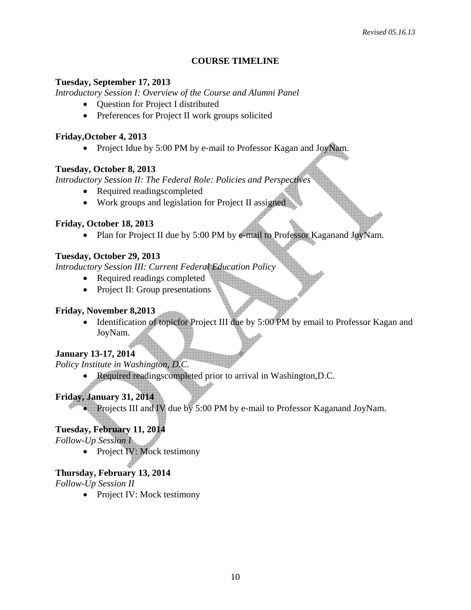## **COURSE TIMELINE**

#### **Tuesday, September 17, 2013**

*Introductory Session I: Overview of the Course and Alumni Panel* 

- Question for Project I distributed
- Preferences for Project II work groups solicited

#### **Friday,October 4, 2013**

• Project Idue by 5:00 PM by e-mail to Professor Kagan and JoyNam.

## **Tuesday, October 8, 2013**

*Introductory Session II: The Federal Role: Policies and Perspectives* 

- Required readingscompleted
- Work groups and legislation for Project II assigned

## **Friday, October 18, 2013**

• Plan for Project II due by 5:00 PM by  $\epsilon$ -mail to Professor Kaganand JoyNam.

## **Tuesday, October 29, 2013**

*Introductory Session III: Current Federal Education Policy* 

- Required readings completed
- Project II: Group presentations

## **Friday, November 8,2013**

• Identification of topicfor Project III due by 5:00 PM by email to Professor Kagan and JoyNam.

## **January 13-17, 2014**

*Policy Institute in Washington, D.C.* 

• Required readingscompleted prior to arrival in Washington,D.C.

# **Friday, January 31, 2014**

• Projects III and IV due by 5:00 PM by e-mail to Professor Kaganand JoyNam.

# **Tuesday, February 11, 2014**

*Follow-Up Session I* 

• Project IV: Mock testimony

# **Thursday, February 13, 2014**

*Follow-Up Session II* 

• Project IV: Mock testimony